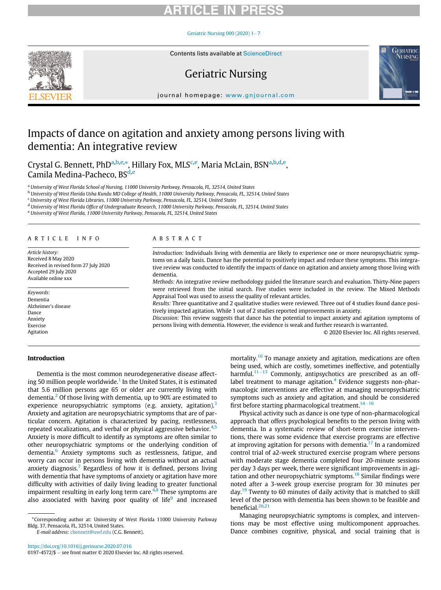Geriatric Nursing 000 (2020)  $1-7$  $1-7$ 



# Geriatric Nursing



journal homepage: [www.gnjournal.com](http://www.gnjournal.com)

# Impacts of dance on agitation and anxiety among persons living with dementia: An integrative review

Crystal G. Bennett, PhD<sup>a[,b,](#page-0-1)[e,](#page-0-2)</sup>[\\*,](#page-0-3) Hillary Fox, MLS<sup>[c](#page-0-4),[e](#page-0-2)</sup>, M[a](#page-0-0)ria McLain, BSN<sup>a[,b](#page-0-1),[d,](#page-0-5)e</sup>, Camila Me[d](#page-0-5)ina-Pacheco, BS<sup>d[,e](#page-0-2)</sup>

<span id="page-0-0"></span><sup>a</sup> University of West Florida School of Nursing, 11000 University Parkway, Pensacola, FL, 32514, United States

<span id="page-0-1"></span><sup>b</sup> University of West Florida Usha Kundu MD College of Health, 11000 University Parkway, Pensacola, FL, 32514, United States

<span id="page-0-4"></span><sup>c</sup> University of West Florida Libraries, 11000 University Parkway, Pensacola, FL, 32514, United States

<span id="page-0-5"></span><sup>d</sup> University of West Florida Office of Undergraduate Research, 11000 University Parkway, Pensacola, FL, 32514, United States

<span id="page-0-2"></span><sup>e</sup> University of West Florida, 11000 University Parkway, Pensacola, FL, 32514, United States

#### ARTICLE INFO

Article history: Received 8 May 2020 Received in revised form 27 July 2020 Accepted 29 July 2020 Available online xxx

Keywords: Dementia Alzheimer's disease Dance **Anxiety** Exercise Agitation

#### ABSTRACT

Introduction: Individuals living with dementia are likely to experience one or more neuropsychiatric symptoms on a daily basis. Dance has the potential to positively impact and reduce these symptoms. This integrative review was conducted to identify the impacts of dance on agitation and anxiety among those living with dementia.

Methods: An integrative review methodology guided the literature search and evaluation. Thirty-Nine papers were retrieved from the initial search. Five studies were included in the review. The Mixed Methods Appraisal Tool was used to assess the quality of relevant articles.

Results: Three quantitative and 2 qualitative studies were reviewed. Three out of 4 studies found dance positively impacted agitation. While 1 out of 2 studies reported improvements in anxiety.

Discussion: This review suggests that dance has the potential to impact anxiety and agitation symptoms of persons living with dementia. However, the evidence is weak and further research is warranted.

© 2020 Elsevier Inc. All rights reserved.

### Introduction

Dementia is the most common neurodegenerative disease affect-ing 50 million people worldwide.<sup>[1](#page-5-0)</sup> In the United States, it is estimated that 5.6 million persons age 65 or older are currently living with dementia.<sup>[2](#page-5-1)</sup> Of those living with dementia, up to 90% are estimated to experience neuropsychiatric symptoms (e.g. anxiety, agitation).<sup>[3](#page-5-2)</sup> Anxiety and agitation are neuropsychiatric symptoms that are of particular concern. Agitation is characterized by pacing, restlessness, repeated vocalizations, and verbal or physical aggressive behavior. $4.5$  $4.5$ Anxiety is more difficult to identify as symptoms are often similar to other neuropsychiatric symptoms or the underlying condition of dementia.<sup>[6](#page-5-5)</sup> Anxiety symptoms such as restlessness, fatigue, and worry can occur in persons living with dementia without an actual anxiety diagnosis.<sup>[7](#page-5-6)</sup> Regardless of how it is defined, persons living with dementia that have symptoms of anxiety or agitation have more difficulty with activities of daily living leading to greater functional impairment resulting in early long term care.<sup>[4,](#page-5-3)[8](#page-5-7)</sup> These symptoms are also associated with having poor quality of life $9$  and increased

E-mail address: [cbennett@uwf.edu](mailto:cbennett@uwf.edu) (C.G. Bennett).

mortality.<sup>[10](#page-5-9)</sup> To manage anxiety and agitation, medications are often being used, which are costly, sometimes ineffective, and potentially harmful.<sup>[11](#page-5-10)-[13](#page-5-10)</sup> Commonly, antipsychotics are prescribed as an off-label treatment to manage agitation.<sup>[4](#page-5-3)</sup> Evidence suggests non-pharmacologic interventions are effective at managing neuropsychiatric symptoms such as anxiety and agitation, and should be considered first before starting pharmacological treatment.  $14-16$  $14-16$  $14-16$ 

Physical activity such as dance is one type of non-pharmacological approach that offers psychological benefits to the person living with dementia. In a systematic review of short-term exercise interventions, there was some evidence that exercise programs are effective at improving agitation for persons with dementia.<sup>[17](#page-5-12)</sup> In a randomized control trial of a2-week structured exercise program where persons with moderate stage dementia completed four 20-minute sessions per day 3 days per week, there were significant improvements in agi-tation and other neuropsychiatric symptoms.<sup>[18](#page-6-0)</sup> Similar findings were noted after a 3-week group exercise program for 30 minutes per day.<sup>[19](#page-6-1)</sup> Twenty to 60 minutes of daily activity that is matched to skill level of the person with dementia has been shown to be feasible and beneficial. $20,21$  $20,21$ 

Managing neuropsychiatric symptoms is complex, and interventions may be most effective using multicomponent approaches. Dance combines cognitive, physical, and social training that is

<span id="page-0-3"></span><sup>\*</sup>Corresponding author at: University of West Florida 11000 University Parkway Bldg. 37, Pensacola, FL, 32514, United States.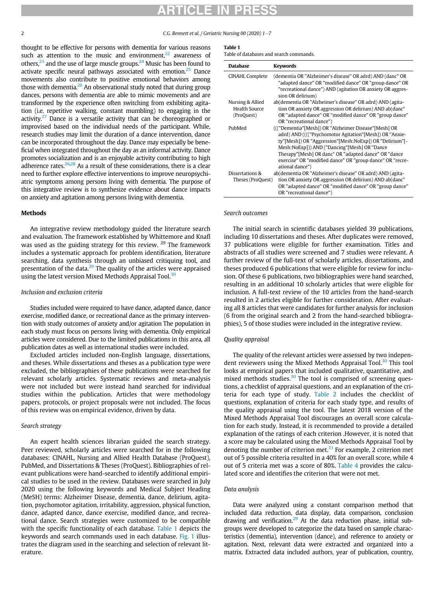# RTICLE IN

2 C.G. Bennett et al. / Geriatric Nursing 00 (2020) 1-7

<span id="page-1-0"></span>thought to be effective for persons with dementia for various reasons such as attention to the music and environment, $22$  awareness of others, $^{23}$  and the use of large muscle groups. $^{24}$  Music has been found to activate specific neural pathways associated with emotion.<sup>[25](#page-6-7)</sup> Dance movements also contribute to positive emotional behaviors among those with dementia.<sup>[26](#page-6-8)</sup> An observational study noted that during group dances, persons with dementia are able to mimic movements and are transformed by the experience often switching from exhibiting agitation (i.e. repetitive walking, constant mumbling) to engaging in the activity. $27$  Dance is a versatile activity that can be choreographed or improvised based on the individual needs of the participant. While, research studies may limit the duration of a dance intervention, dance can be incorporated throughout the day. Dance may especially be beneficial when integrated throughout the day as an informal activity. Dance promotes socialization and is an enjoyable activity contributing to high adherence rates. $26,28$  $26,28$  As a result of these considerations, there is a clear need to further explore effective interventions to improve neuropsychiatric symptoms among persons living with dementia. The purpose of this integrative review is to synthesize evidence about dance impacts on anxiety and agitation among persons living with dementia.

### Methods

An integrative review methodology guided the literature search and evaluation. The framework established by Whittemore and Knafl was used as the guiding strategy for this review. <sup>29</sup> The framework includes a systematic approach for problem identification, literature searching, data synthesis through an unbiased critiquing tool, and presentation of the data.<sup>[29](#page-6-11)</sup> The quality of the articles were appraised using the latest version Mixed Methods Appraisal Tool.<sup>[30](#page-6-12)</sup>

#### Inclusion and exclusion criteria

Studies included were required to have dance, adapted dance, dance exercise, modified dance, or recreational dance as the primary intervention with study outcomes of anxiety and/or agitation The population in each study must focus on persons living with dementia. Only empirical articles were considered. Due to the limited publications in this area, all publication dates as well as international studies were included.

Excluded articles included non-English language, dissertations, and theses. While dissertations and theses as a publication type were excluded, the bibliographies of these publications were searched for relevant scholarly articles. Systematic reviews and meta-analysis were not included but were instead hand searched for individual studies within the publication. Articles that were methodology papers, protocols, or project proposals were not included. The focus of this review was on empirical evidence, driven by data.

### Search strategy

An expert health sciences librarian guided the search strategy. Peer reviewed, scholarly articles were searched for in the following databases: CINAHL, Nursing and Allied Health Database (ProQuest), PubMed, and Dissertations & Theses (ProQuest). Bibliographies of relevant publications were hand-searched to identify additional empirical studies to be used in the review. Databases were searched in July 2020 using the following keywords and Medical Subject Heading (MeSH) terms: Alzheimer Disease, dementia, dance, delirium, agitation, psychomotor agitation, irritability, aggression, physical function, dance, adapted dance, dance exercise, modified dance, and recreational dance. Search strategies were customized to be compatible with the specific functionality of each database. [Table 1](#page-1-0) depicts the keywords and search commands used in each database. [Fig. 1](#page-2-0) illustrates the diagram used in the searching and selection of relevant literature.

#### Table 1

| <b>Database</b>                                 | <b>Keywords</b>                                                                                                                                                                                                                                                                                                                                                    |
|-------------------------------------------------|--------------------------------------------------------------------------------------------------------------------------------------------------------------------------------------------------------------------------------------------------------------------------------------------------------------------------------------------------------------------|
| <b>CINAHL Complete</b>                          | (dementia OR "Alzheimer's disease" OR adrd) AND (danc* OR<br>"adapted dance" OR "modified dance" OR "group dance" OR<br>"recreational dance") AND (agitation OR anxiety OR aggres-<br>sion OR delirium)                                                                                                                                                            |
| Nursing & Allied<br>Health Source<br>(ProQuest) | ab(dementia OR "Alzheimer's disease" OR adrd) AND (agita-<br>tion OR anxiety OR aggression OR delirium) AND ab(danc*<br>OR "adapted dance" OR "modified dance" OR "group dance"<br>OR "recreational dance")                                                                                                                                                        |
| PubMed                                          | ((("Dementia"[Mesh]) OR "Alzheimer Disease"[Mesh] OR<br>adrd) AND (((("Psychomotor Agitation"[Mesh]) OR "Anxie-<br>ty"[Mesh]) OR "Aggression"[Mesh:NoExp]) OR "Delirium"[-<br>Mesh:NoExp])) AND ("Dancing"[Mesh] OR "Dance<br>Therapy"[Mesh] OR danc* OR "adapted dance" OR "dance<br>exercise" OR "modified dance" OR "group dance" OR "recre-<br>ational dance") |
| Dissertations &<br>Theses (ProQuest)            | ab(dementia OR "Alzheimer's disease" OR adrd) AND (agita-<br>tion OR anxiety OR aggression OR delirium) AND ab(danc <sup>*</sup><br>OR "adapted dance" OR "modified dance" OR "group dance"<br>OR "recreational dance")                                                                                                                                            |

Search outcomes

The initial search in scientific databases yielded 39 publications, including 10 dissertations and theses. After duplicates were removed, 37 publications were eligible for further examination. Titles and abstracts of all studies were screened and 7 studies were relevant. A further review of the full-text of scholarly articles, dissertations, and theses produced 6 publications that were eligible for review for inclusion. Of these 6 publications, two bibliographies were hand searched, resulting in an additional 10 scholarly articles that were eligible for inclusion. A full-text review of the 10 articles from the hand-search resulted in 2 articles eligible for further consideration. After evaluating all 8 articles that were candidates for further analysis for inclusion (6 from the original search and 2 from the hand-searched bibliographies), 5 of those studies were included in the integrative review.

### Quality appraisal

The quality of the relevant articles were assessed by two indepen-dent reviewers using the Mixed Methods Appraisal Tool.<sup>[30](#page-6-12)</sup> This tool looks at empirical papers that included qualitative, quantitative, and mixed methods studies.<sup>[30](#page-6-12)</sup> The tool is comprised of screening questions, a checklist of appraisal questions, and an explanation of the criteria for each type of study. [Table 2](#page-3-0) includes the checklist of questions, explanation of criteria for each study type, and results of the quality appraisal using the tool. The latest 2018 version of the Mixed Methods Appraisal Tool discourages an overall score calculation for each study. Instead, it is recommended to provide a detailed explanation of the ratings of each criterion .However, it is noted that a score may be calculated using the Mixed Methods Appraisal Tool by denoting the number of criterion met. $31$  For example, 2 criterion met out of 5 possible criteria resulted in a 40% for an overall score, while 4 out of 5 criteria met was a score of 80%. [Table 4](#page-4-0) provides the calculated score and identifies the criterion that were not met.

#### Data analysis

Data were analyzed using a constant comparison method that included data reduction, data display, data comparison, conclusion drawing and verification. $29$  At the data reduction phase, initial subgroups were developed to categorize the data based on sample characteristics (dementia), intervention (dance), and reference to anxiety or agitation. Next, relevant data were extracted and organized into a matrix. Extracted data included authors, year of publication, country,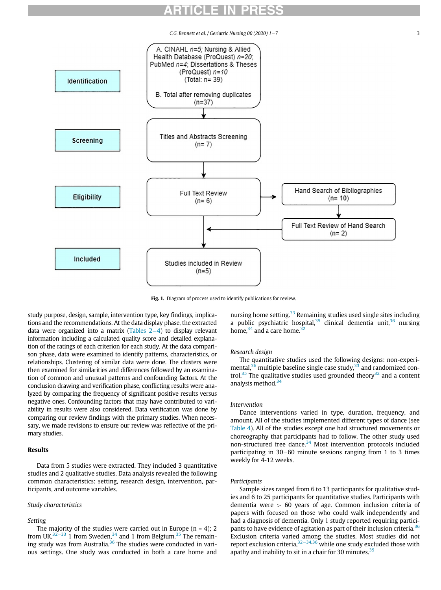$C.G.$  Bennett et al. / Geriatric Nursing 00 (2020)  $1-7$  3

<span id="page-2-0"></span>

Fig. 1. Diagram of process used to identify publications for review.

study purpose, design, sample, intervention type, key findings, implications and the recommendations. At the data display phase, the extracted data were organized into a matrix (Tables  $2-4$ ) to display relevant information including a calculated quality score and detailed explanation of the ratings of each criterion for each study. At the data comparison phase, data were examined to identify patterns, characteristics, or relationships. Clustering of similar data were done. The clusters were then examined for similarities and differences followed by an examination of common and unusual patterns and confounding factors. At the conclusion drawing and verification phase, conflicting results were analyzed by comparing the frequency of significant positive results versus negative ones. Confounding factors that may have contributed to variability in results were also considered. Data verification was done by comparing our review findings with the primary studies. When necessary, we made revisions to ensure our review was reflective of the primary studies.

#### Results

Data from 5 studies were extracted. They included 3 quantitative studies and 2 qualitative studies. Data analysis revealed the following common characteristics: setting, research design, intervention, participants, and outcome variables.

#### Study characteristics

#### Setting

The majority of the studies were carried out in Europe  $(n = 4)$ ; 2 from UK, $32-33$  $32-33$  $32-33$  1 from Sweden, $34$  and 1 from Belgium. $35$  The remain-ing study was from Australia.<sup>[36](#page-6-17)</sup> The studies were conducted in various settings. One study was conducted in both a care home and nursing home setting.<sup>[33](#page-6-18)</sup> Remaining studies used single sites including a public psychiatric hospital,  $35$  clinical dementia unit,  $36$  nursing home,  $34$  and a care home.  $32$ 

### Research design

The quantitative studies used the following designs: non-experimental, $36$  multiple baseline single case study, $33$  and randomized con-trol.<sup>[35](#page-6-16)</sup> The qualitative studies used grounded theory<sup>[32](#page-6-14)</sup> and a content analysis method. $34$ 

#### Intervention

Dance interventions varied in type, duration, frequency, and amount. All of the studies implemented different types of dance (see [Table 4](#page-4-0)). All of the studies except one had structured movements or choreography that participants had to follow. The other study used non-structured free dance.[34](#page-6-15) Most intervention protocols included participating in  $30-60$  minute sessions ranging from 1 to 3 times weekly for 4-12 weeks.

#### Participants

Sample sizes ranged from 6 to 13 participants for qualitative studies and 6 to 25 participants for quantitative studies. Participants with dementia were > 60 years of age. Common inclusion criteria of papers with focused on those who could walk independently and had a diagnosis of dementia. Only 1 study reported requiring partici-pants to have evidence of agitation as part of their inclusion criteria.<sup>[36](#page-6-17)</sup> Exclusion criteria varied among the studies. Most studies did not report exclusion criteria,  $32-34,36$  $32-34,36$  $32-34,36$  $32-34,36$  while one study excluded those with apathy and inability to sit in a chair for 30 minutes. $35$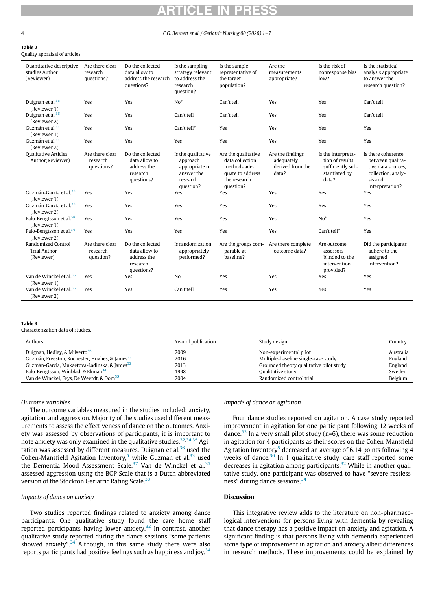#### 4 C.G. Bennett et al. / Geriatric Nursing 00 (2020) 1-7

#### <span id="page-3-0"></span>Table 2 Quality appraisal of articles.

| Quantitative descriptive<br>studies Author<br>(Reviewer)       | Are there clear<br>research<br>questions? | Do the collected<br>data allow to<br>address the research<br>questions?    | Is the sampling<br>strategy relevant<br>to address the<br>research<br>question?         | Is the sample<br>representative of<br>the target<br>population?                                         | Are the<br>measurements<br>appropriate?                     | Is the risk of<br>nonresponse bias<br>low?                                           | Is the statistical<br>analysis appropriate<br>to answer the<br>research question?                                |
|----------------------------------------------------------------|-------------------------------------------|----------------------------------------------------------------------------|-----------------------------------------------------------------------------------------|---------------------------------------------------------------------------------------------------------|-------------------------------------------------------------|--------------------------------------------------------------------------------------|------------------------------------------------------------------------------------------------------------------|
| Duignan et al. <sup>36</sup><br>(Reviewer 1)                   | Yes                                       | Yes                                                                        | $No*$                                                                                   | Can't tell                                                                                              | Yes                                                         | Yes                                                                                  | Can't tell                                                                                                       |
| Duignan et al. <sup>36</sup><br>(Reviewer 2)                   | Yes                                       | Yes                                                                        | Can't tell                                                                              | Can't tell                                                                                              | Yes                                                         | Yes                                                                                  | Can't tell                                                                                                       |
| Guzmán et al. <sup>33</sup><br>(Reviewer 1)                    | Yes                                       | Yes                                                                        | Can't tell*                                                                             | Yes                                                                                                     | Yes                                                         | Yes                                                                                  | Yes                                                                                                              |
| Guzmán et al. <sup>33</sup><br>(Reviewer 2)                    | Yes                                       | Yes                                                                        | Yes                                                                                     | Yes                                                                                                     | Yes                                                         | Yes                                                                                  | Yes                                                                                                              |
| <b>Qualitative Articles</b><br>Author(Reviewer)                | Are there clear<br>research<br>questions? | Do the collected<br>data allow to<br>address the<br>research<br>questions? | Is the qualitative<br>approach<br>appropriate to<br>answer the<br>research<br>question? | Are the qualitative<br>data collection<br>methods ade-<br>quate to address<br>the research<br>question? | Are the findings<br>adequately<br>derived from the<br>data? | Is the interpreta-<br>tion of results<br>sufficiently sub-<br>stantiated by<br>data? | Is there coherence<br>between qualita-<br>tive data sources.<br>collection, analy-<br>sis and<br>interpretation? |
| Guzmán-García et al. <sup>32</sup><br>(Reviewer 1)             | Yes                                       | Yes                                                                        | Yes                                                                                     | Yes                                                                                                     | Yes                                                         | Yes                                                                                  | Yes                                                                                                              |
| Guzmán-García et al. <sup>32</sup><br>(Reviewer 2)             | Yes                                       | Yes                                                                        | Yes                                                                                     | Yes                                                                                                     | Yes                                                         | Yes                                                                                  | Yes                                                                                                              |
| Palo-Bengtsson et al. <sup>34</sup><br>(Reviewer 1)            | Yes                                       | Yes                                                                        | Yes                                                                                     | Yes                                                                                                     | Yes                                                         | $No*$                                                                                | Yes                                                                                                              |
| Palo-Bengtsson et al. <sup>34</sup><br>(Reviewer 2)            | Yes                                       | Yes                                                                        | Yes                                                                                     | Yes                                                                                                     | Yes                                                         | Can't tell*                                                                          | Yes                                                                                                              |
| <b>Randomized Control</b><br><b>Trial Author</b><br>(Reviewer) | Are there clear<br>research<br>question?  | Do the collected<br>data allow to<br>address the<br>research<br>questions? | Is randomization<br>appropriately<br>performed?                                         | Are the groups com-<br>parable at<br>baseline?                                                          | Are there complete<br>outcome data?                         | Are outcome<br>assessors<br>blinded to the<br>intervention<br>provided?              | Did the participants<br>adhere to the<br>assigned<br>intervention?                                               |
| Van de Winckel et al. <sup>35</sup><br>(Reviewer 1)            | Yes                                       | Yes                                                                        | No                                                                                      | Yes                                                                                                     | Yes                                                         | Yes                                                                                  | Yes                                                                                                              |
| Van de Winckel et al. <sup>35</sup><br>(Reviewer 2)            | Yes                                       | Yes                                                                        | Can't tell                                                                              | Yes                                                                                                     | Yes                                                         | Yes                                                                                  | Yes                                                                                                              |

#### Table 3

Characterization data of studies.

| Authors                                                    | Year of publication | Study design                            | Country   |
|------------------------------------------------------------|---------------------|-----------------------------------------|-----------|
| Duignan, Hedley, & Milverto <sup>36</sup>                  | 2009                | Non-experimental pilot                  | Australia |
| Guzmán, Freeston, Rochester, Hughes, & James <sup>33</sup> | 2016                | Multiple-baseline single-case study     | England   |
| Guzmán-García, Mukaetova-Ladinska, & James <sup>32</sup>   | 2013                | Grounded theory qualitative pilot study | England   |
| Palo-Bengtsson, Winblad, & Ekman <sup>34</sup>             | 1998                | Qualitative study                       | Sweden    |
| Van de Winckel, Feys, De Weerdt, & Dom <sup>35</sup>       | 2004                | Randomized control trial                | Belgium   |

#### Outcome variables

The outcome variables measured in the studies included: anxiety, agitation, and aggression. Majority of the studies used different measurements to assess the effectiveness of dance on the outcomes. Anxiety was assessed by observations of participants, it is important to note anxiety was only examined in the qualitative studies.  $32,34,35$  $32,34,35$  $32,34,35$  Agi-tation was assessed by different measures. Duignan et al.<sup>[36](#page-6-17)</sup> used the Cohen-Mansfield Agitation Inventory,<sup>[5](#page-5-4)</sup> while Guzman et al.<sup>[33](#page-6-18)</sup> used the Dementia Mood Assessment Scale.<sup>[37](#page-6-19)</sup> Van de Winckel et al.<sup>[35](#page-6-16)</sup> assessed aggression using the BOP Scale that is a Dutch abbreviated version of the Stockton Geriatric Rating Scale.<sup>[38](#page-6-20)</sup>

#### Impacts of dance on anxiety

Two studies reported findings related to anxiety among dance participants. One qualitative study found the care home staff reported participants having lower anxiety.<sup>[32](#page-6-14)</sup> In contrast, another qualitative study reported during the dance sessions "some patients showed anxiety".<sup>[34](#page-6-15)</sup> Although, in this same study there were also reports participants had positive feelings such as happiness and joy. $34$ 

### Impacts of dance on agitation

Four dance studies reported on agitation. A case study reported improvement in agitation for one participant following 12 weeks of dance.<sup>33</sup> In a very small pilot study ( $n=6$ ), there was some reduction in agitation for 4 participants as their scores on the Cohen-Mansfield Agitation Inventory<sup>[5](#page-5-4)</sup> decreased an average of 6.14 points following 4 weeks of dance.<sup>[36](#page-6-17)</sup> In 1 qualitative study, care staff reported some decreases in agitation among participants.<sup>[32](#page-6-14)</sup> While in another qualitative study, one participant was observed to have "severe restless-ness" during dance sessions.<sup>[34](#page-6-15)</sup>

#### Discussion

This integrative review adds to the literature on non-pharmacological interventions for persons living with dementia by revealing that dance therapy has a positive impact on anxiety and agitation. A significant finding is that persons living with dementia experienced some type of improvement in agitation and anxiety albeit differences in research methods. These improvements could be explained by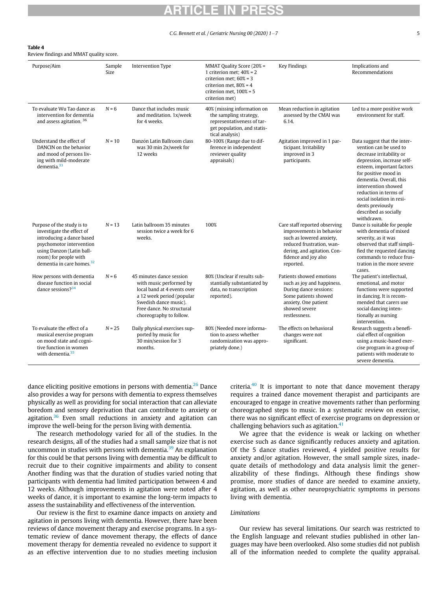#### $C.G.$  Bennett et al. / Geriatric Nursing 00 (2020) 1-7  $\hspace{1.5cm}$  5

### <span id="page-4-0"></span>Table 4

Review findings and MMAT quality score.

| Purpose/Aim                                                                                                                                                                                            | Sample<br>Size | Intervention Type                                                                                                                                                                                | MMAT Quality Score (20% =<br>1 criterion met; $40\% = 2$<br>criterion met: $60\% = 3$<br>criterion met, $80\% = 4$<br>criterion met, $100\% = 5$<br>criterion met) | <b>Key Findings</b>                                                                                                                                                                    | Implications and<br>Recommendations                                                                                                                                                                                                                                                                                                      |
|--------------------------------------------------------------------------------------------------------------------------------------------------------------------------------------------------------|----------------|--------------------------------------------------------------------------------------------------------------------------------------------------------------------------------------------------|--------------------------------------------------------------------------------------------------------------------------------------------------------------------|----------------------------------------------------------------------------------------------------------------------------------------------------------------------------------------|------------------------------------------------------------------------------------------------------------------------------------------------------------------------------------------------------------------------------------------------------------------------------------------------------------------------------------------|
| To evaluate Wu Tao dance as<br>intervention for dementia<br>and assess agitation. <sup>36</sup>                                                                                                        | $N = 6$        | Dance that includes music<br>and meditation, 1x/week<br>for 4 weeks.                                                                                                                             | 40% (missing information on<br>the sampling strategy,<br>representativeness of tar-<br>get population, and statis-<br>tical analysis)                              | Mean reduction in agitation<br>assessed by the CMAI was<br>6.14.                                                                                                                       | Led to a more positive work<br>environment for staff.                                                                                                                                                                                                                                                                                    |
| Understand the effect of<br>DANCIN on the behavior<br>and mood of persons liv-<br>ing with mild-moderate<br>dementia. $33$                                                                             | $N = 10$       | Danzón Latin Ballroom class<br>was 30 min 2x/week for<br>12 weeks                                                                                                                                | 80-100% (Range due to dif-<br>ference in independent<br>reviewer quality<br>appraisals)                                                                            | Agitation improved in 1 par-<br>ticipant. Irritability<br>improved in 3<br>participants.                                                                                               | Data suggest that the inter-<br>vention can be used to<br>decrease irritability or<br>depression, increase self-<br>esteem, important factors<br>for positive mood in<br>dementia. Overall, this<br>intervention showed<br>reduction in terms of<br>social isolation in resi-<br>dents previously<br>described as socially<br>withdrawn. |
| Purpose of the study is to<br>investigate the effect of<br>introducing a dance based<br>psychomotor intervention<br>using Danzon (Latin ball-<br>room) for people with<br>dementia in care homes. $32$ | $N = 13$       | Latin ballroom 35 minutes<br>session twice a week for 6<br>weeks.                                                                                                                                | 100%                                                                                                                                                               | Care staff reported observing<br>improvements in behavior<br>such as lowered anxiety,<br>reduced frustration, wan-<br>dering, and agitation. Con-<br>fidence and joy also<br>reported. | Dance is suitable for people<br>with dementia of mixed<br>severity, as it was<br>observed that staff simpli-<br>fied the requested dancing<br>commands to reduce frus-<br>tration in the more severe<br>cases.                                                                                                                           |
| How persons with dementia<br>disease function in social<br>dance sessions? $34$                                                                                                                        | $N = 6$        | 45 minutes dance session<br>with music performed by<br>local band at 4 events over<br>a 12 week period (popular<br>Swedish dance music).<br>Free dance. No structural<br>choreography to follow. | 80% (Unclear if results sub-<br>stantially substantiated by<br>data, no transcription<br>reported).                                                                | Patients showed emotions<br>such as joy and happiness.<br>During dance sessions:<br>Some patients showed<br>anxiety. One patient<br>showed severe<br>restlessness.                     | The patient's intellectual,<br>emotional, and motor<br>functions were supported<br>in dancing. It is recom-<br>mended that carers use<br>social dancing inten-<br>tionally as nursing<br>intervention.                                                                                                                                   |
| To evaluate the effect of a<br>musical exercise program<br>on mood state and cogni-<br>tive function in women<br>with dementia. $35$                                                                   | $N = 25$       | Daily physical exercises sup-<br>ported by music for<br>30 min/session for 3<br>months.                                                                                                          | 80% (Needed more informa-<br>tion to assess whether<br>randomization was appro-<br>priately done.)                                                                 | The effects on behavioral<br>changes were not<br>significant.                                                                                                                          | Research suggests a benefi-<br>cial effect of cognition<br>using a music-based exer-<br>cise program in a group of<br>patients with moderate to<br>severe dementia.                                                                                                                                                                      |

dance eliciting positive emotions in persons with dementia. $26$  Dance also provides a way for persons with dementia to express themselves physically as well as providing for social interaction that can alleviate boredom and sensory deprivation that can contribute to anxiety or agitation. $36$  Even small reductions in anxiety and agitation can improve the well-being for the person living with dementia.

The research methodology varied for all of the studies. In the research designs, all of the studies had a small sample size that is not uncommon in studies with persons with dementia.<sup>[39](#page-6-21)</sup> An explanation for this could be that persons living with dementia may be difficult to recruit due to their cognitive impairments and ability to consent Another finding was that the duration of studies varied noting that participants with dementia had limited participation between 4 and 12 weeks. Although improvements in agitation were noted after 4 weeks of dance, it is important to examine the long-term impacts to assess the sustainability and effectiveness of the intervention.

Our review is the first to examine dance impacts on anxiety and agitation in persons living with dementia. However, there have been reviews of dance movement therapy and exercise programs. In a systematic review of dance movement therapy, the effects of dance movement therapy for dementia revealed no evidence to support it as an effective intervention due to no studies meeting inclusion

criteria. $40$  It is important to note that dance movement therapy requires a trained dance movement therapist and participants are encouraged to engage in creative movements rather than performing choreographed steps to music. In a systematic review on exercise, there was no significant effect of exercise programs on depression or challenging behaviors such as agitation. $41$ 

We agree that the evidence is weak or lacking on whether exercise such as dance significantly reduces anxiety and agitation. Of the 5 dance studies reviewed, 4 yielded positive results for anxiety and/or agitation. However, the small sample sizes, inadequate details of methodology and data analysis limit the generalizability of these findings. Although these findings show promise, more studies of dance are needed to examine anxiety, agitation, as well as other neuropsychiatric symptoms in persons living with dementia.

#### **Limitations**

Our review has several limitations. Our search was restricted to the English language and relevant studies published in other languages may have been overlooked. Also some studies did not publish all of the information needed to complete the quality appraisal.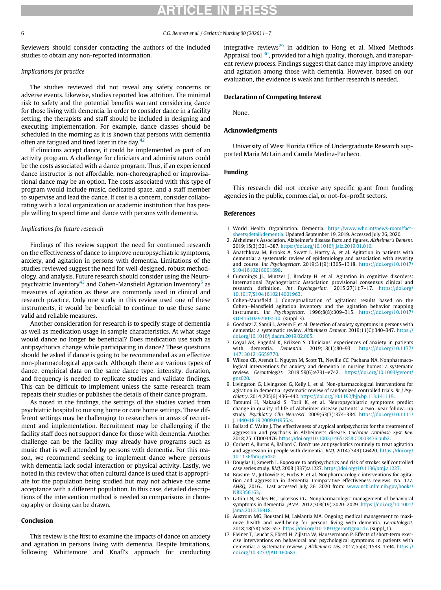#### 6 C.G. Bennett et al. / Geriatric Nursing 00 (2020) 1-7

Reviewers should consider contacting the authors of the included studies to obtain any non-reported information.

## Implications for practice

The studies reviewed did not reveal any safety concerns or adverse events. Likewise, studies reported low attrition. The minimal risk to safety and the potential benefits warrant considering dance for those living with dementia. In order to consider dance in a facility setting, the therapists and staff should be included in designing and executing implementation. For example, dance classes should be scheduled in the morning as it is known that persons with dementia often are fatigued and tired later in the day. $42$ 

If clinicians accept dance, it could be implemented as part of an activity program. A challenge for clinicians and administrators could be the costs associated with a dance program. Thus, if an experienced dance instructor is not affordable, non-choreographed or improvisational dance may be an option. The costs associated with this type of program would include music, dedicated space, and a staff member to supervise and lead the dance. If cost is a concern, consider collaborating with a local organization or academic institution that has people willing to spend time and dance with persons with dementia.

### <span id="page-5-0"></span>Implications for future research

<span id="page-5-3"></span><span id="page-5-2"></span><span id="page-5-1"></span>Findings of this review support the need for continued research on the effectiveness of dance to improve neuropsychiatric symptoms, anxiety, and agitation in persons with dementia. Limitations of the studies reviewed suggest the need for well-designed, robust methodology, and analysis. Future research should consider using the Neuro-psychiatric Inventory<sup>[43](#page-6-25)</sup> and Cohen-Mansfield Agitation Inventory<sup>[5](#page-5-4)</sup> as measures of agitation as these are commonly used in clinical and research practice. Only one study in this review used one of these instruments, it would be beneficial to continue to use these same valid and reliable measures.

<span id="page-5-7"></span><span id="page-5-6"></span><span id="page-5-5"></span><span id="page-5-4"></span>Another consideration for research is to specify stage of dementia as well as medication usage in sample characteristics. At what stage would dance no longer be beneficial? Does medication use such as antipsychotics change while participating in dance? These questions should be asked if dance is going to be recommended as an effective non-pharmacological approach. Although there are various types of dance, empirical data on the same dance type, intensity, duration, and frequency is needed to replicate studies and validate findings. This can be difficult to implement unless the same research team repeats their studies or publishes the details of their dance program.

<span id="page-5-10"></span><span id="page-5-9"></span><span id="page-5-8"></span>As noted in the findings, the settings of the studies varied from psychiatric hospital to nursing home or care home settings. These different settings may be challenging to researchers in areas of recruitment and implementation. Recruitment may be challenging if the facility staff does not support dance for those with dementia. Another challenge can be the facility may already have programs such as music that is well attended by persons with dementia. For this reason, we recommend seeking to implement dance where persons with dementia lack social interaction or physical activity. Lastly, we noted in this review that often cultural dance is used that is appropriate for the population being studied but may not achieve the same acceptance with a different population. In this case, detailed descriptions of the intervention method is needed so comparisons in choreography or dosing can be drawn.

### <span id="page-5-11"></span>Conclusion

<span id="page-5-12"></span>This review is the first to examine the impacts of dance on anxiety and agitation in persons living with dementia. Despite limitations, following Whittemore and Knafl's approach for conducting integrative reviews<sup>[29](#page-6-11)</sup> in addition to Hong et al. Mixed Methods Appraisal tool  $30$ , provided for a high quality, thorough, and transparent review process. Findings suggest that dance may improve anxiety and agitation among those with dementia. However, based on our evaluation, the evidence is weak and further research is needed.

### Declaration of Competing Interest

None.

### Acknowledgments

University of West Florida Office of Undergraduate Research supported Maria McLain and Camila Medina-Pacheco.

### Funding

This research did not receive any specific grant from funding agencies in the public, commercial, or not-for-profit sectors.

#### References

- 1. World Health Organization. Dementia. [https://www.who.int/news-room/fact](https://www.who.int/news-room/fact-sheets/detail/dementia)[sheets/detail/dementia.](https://www.who.int/news-room/fact-sheets/detail/dementia) Updated September 19, 2019. Accessed July 26, 2020.
- 2. Alzheimer's Association. Alzheimer's disease facts and figures. Alzheimer's Dement. 2019;15(3):321–387. [https://doi.org/10.1016/j.jalz.2019.01.010.](https://doi.org/10.1016/j.jalz.2019.01.010)
- 3. Anatchkova M, Brooks A, Swett L, Hartry A, et al. Agitation in patients with dementia: a systematic review of epidemiology and association with severity and course. Int Psychogeriatr. 2019;31(9):1305–1318. [https://doi.org/10.1017/](https://doi.org/10.1017/S1041610218001898) [S1041610218001898.](https://doi.org/10.1017/S1041610218001898)
- 4. Cummings JL, Mintzer J, Brodaty H, et al. Agitation in cognitive disorders: International Psychogeriatric Association provisional consensus clinical and research definition. Int Psychogeriatr. 2015;27(1):7–17. [https://doi.org/](https://doi.org/10.1017/S1041610214001963) [10.1017/S1041610214001963.](https://doi.org/10.1017/S1041610214001963)
- 5. Cohen-Mansfield J. Conceptualization of agitation: results based on the Cohen-Mansfield agitation inventory and the agitation behavior mapping instrument. Int Psychogeriatr. 1996;8(8):309–315. [https://doi.org/10.1017/](https://doi.org/10.1017/s1041610297003530) [s1041610297003530](https://doi.org/10.1017/s1041610297003530). (suppl 3).
- 6. Goodarzi Z, Samii L, Azeem F, et al. Detection of anxiety symptoms in persons with dementia: a systematic review. Alzheimers Dement. 2019;11(C):340-347. [https://](https://doi.org/10.1016/j.dadm.2019.02.005) [doi.org/10.1016/j.dadm.2019.02.005.](https://doi.org/10.1016/j.dadm.2019.02.005)
- 7. Goyal AR, Engedal K, Eriksen S. Clinicians' experiences of anxiety in patients with dementia. Dementia. 2019;18(1):80–93. [https://doi.org/10.1177/](https://doi.org/10.1177/1471301216659770) [1471301216659770](https://doi.org/10.1177/1471301216659770).
- 8. Wilson CB, Arendt L, Nguyen M, Scott TL, Neville CC, Pachana NA. Nonpharmacological interventions for anxiety and dementia in nursing homes: a systematic review. Gerontologist. 2019;59(6):e731–e742. [https://doi.org/10.1093/geront/](https://doi.org/10.1093/geront/gnz020) [gnz020.](https://doi.org/10.1093/geront/gnz020)
- 9. Livingston G, Livingston G, Kelly L, et al. Non-pharmacological interventions for agitation in dementia: systematic review of randomized controlled trials. Br J Psychiatry. 2014;205(6):436–442. <https://doi.org/10.1192/bjp.bp.113.141119>.
- 10. Tatsumi H, Nakaaki S, Torii K, et al. Neuropsychiatric symptoms predict change in quality of life of Alzheimer disease patients: a two-year follow-up study. Psychiatry Clin Neurosci. 2009;63(3):374–384. [https://doi.org/10.1111/](https://doi.org/10.1111/j.1440-1819.2009.01955.x) [j.1440-1819.2009.01955.x](https://doi.org/10.1111/j.1440-1819.2009.01955.x).
- 11. Ballard C, Waite J. The effectiveness of atypical antipsychotics for the treatment of aggression and psychosis in Alzheimer's disease. Cochrane Database Syst Rev. 2018;25: CD003476. <https://doi.org/10.1002/14651858.CD003476.pub2>.
- 12. Corbett A, Burns A, Ballard C. Don't use antipsychotics routinely to treat agitation and aggression in people with dementia. BMJ. 2014:(349):G6420. [https://doi.org/](https://doi.org/10.1136/bmj.g6420) [10.1136/bmj.g6420.](https://doi.org/10.1136/bmj.g6420)
- 13. Douglas IJ, Smeeth L. Exposure to antipsychotics and risk of stroke: self controlled case series study. BMJ. 2008:(337):a1227. <https://doi.org/10.1136/bmj.a1227>.
- 14. Brasure M, Jutkowitz E, Fuchs E, et al. Nonpharmacologic interventions for agitation and aggression in dementia. Comparative effectiveness reviews. No. 177. AHRQ. 2016.. Last accessed July 26, 2020 from: [www.ncbi.nlm.nih.gov/books/](http://www.ncbi.nlm.nih.gov/books/NBK356163/) NBK356163/
- 15. Gitlin LN, Kales HC, Lyketsos CG. Nonpharmacologic management of behavioral symptoms in dementia. JAMA. 2012;308(19):2020–2029. [https://doi.org/10.1001/](https://doi.org/10.1001/jama.2012.36918) ama.2012.36918
- 16. Austrom MG, Boustani M, LaMantia MA. Ongoing medical management to maximize health and well-being for persons living with dementia. Gerontologist. 2018;18(58):S48–S57. <https://doi.org/10.1093/geront/gnx147>. (suppl\_1).
- 17. Fleiner T, Leucht S, Förstl H, Zijlstra W, Haussermann P. Effects of short-term exercise interventions on behavioral and psychological symptoms in patients with dementia: a systematic review. J Alzheimers Dis. 2017;55(4):1583-1594. [https://](https://doi.org/10.3233/JAD-160683) [doi.org/10.3233/JAD-160683](https://doi.org/10.3233/JAD-160683).